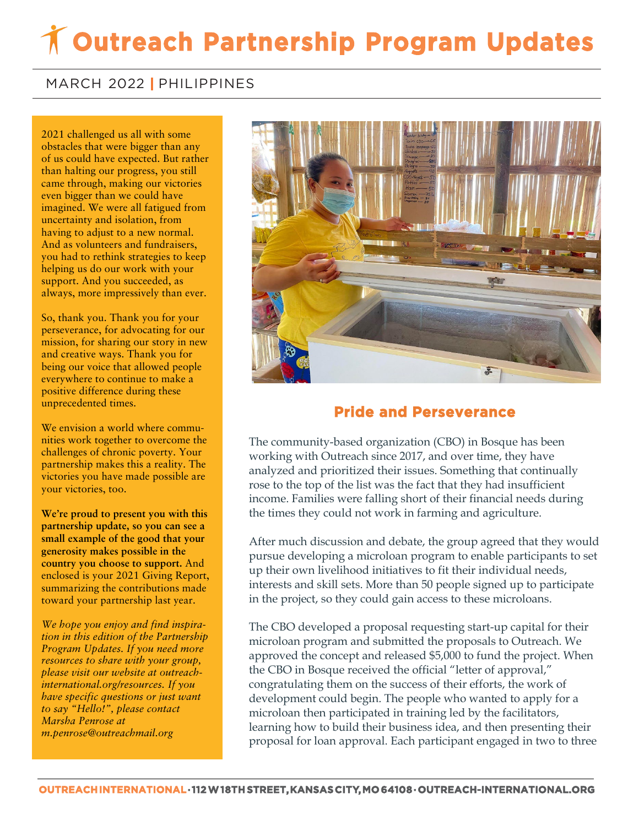## **Outreach Partnership Program Updates**

## MARCH 2022 **|** PHILIPPINES

 of us could have expected. But rather **came through, making our victories** 2021 challenged us all with some obstacles that were bigger than any than halting our progress, you still even bigger than we could have imagined. We were all fatigued from uncertainty and isolation, from having to adjust to a new normal. And as volunteers and fundraisers, you had to rethink strategies to keep helping us do our work with your support. And you succeeded, as always, more impressively than ever.

So, thank you. Thank you for your perseverance, for advocating for our mission, for sharing our story in new and creative ways. Thank you for being our voice that allowed people everywhere to continue to make a positive difference during these unprecedented times.

We envision a world where communities work together to overcome the challenges of chronic poverty. Your partnership makes this a reality. The victories you have made possible are your victories, too.

**We're proud to present you with this partnership update, so you can see a small example of the good that your generosity makes possible in the country you choose to support.** And enclosed is your 2021 Giving Report, summarizing the contributions made toward your partnership last year.

*We hope you enjoy and find inspiration in this edition of the Partnership Program Updates. If you need more resources to share with your group, please visit our website at outreachinternational.org/resources. If you have specific questions or just want to say "Hello!", please contact Marsha Penrose at m.penrose@outreachmail.org*



## **Pride and Perseverance**

The community-based organization (CBO) in Bosque has been working with Outreach since 2017, and over time, they have analyzed and prioritized their issues. Something that continually rose to the top of the list was the fact that they had insufficient income. Families were falling short of their financial needs during the times they could not work in farming and agriculture.

After much discussion and debate, the group agreed that they would pursue developing a microloan program to enable participants to set up their own livelihood initiatives to fit their individual needs, interests and skill sets. More than 50 people signed up to participate in the project, so they could gain access to these microloans.

The CBO developed a proposal requesting start-up capital for their microloan program and submitted the proposals to Outreach. We approved the concept and released \$5,000 to fund the project. When the CBO in Bosque received the official "letter of approval," congratulating them on the success of their efforts, the work of development could begin. The people who wanted to apply for a microloan then participated in training led by the facilitators, learning how to build their business idea, and then presenting their proposal for loan approval. Each participant engaged in two to three